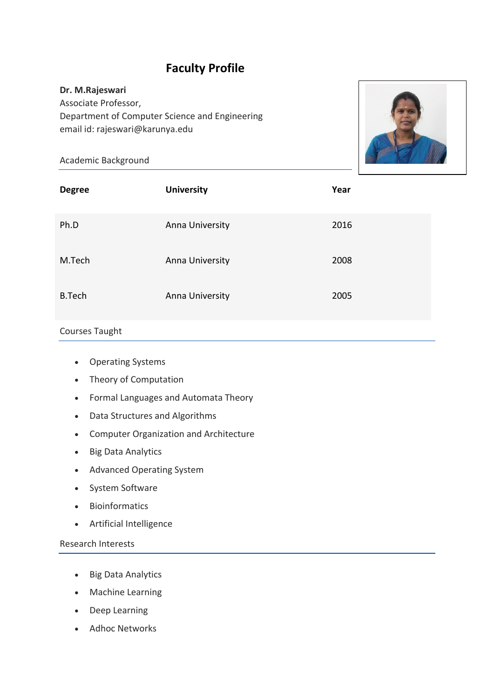# **Faculty Profile**

## **Dr. M.Rajeswari**

Associate Professor, Department of Computer Science and Engineering email id: rajeswari@karunya.edu

## Academic Background



| <b>Degree</b> | <b>University</b> | Year |
|---------------|-------------------|------|
| Ph.D          | Anna University   | 2016 |
| M.Tech        | Anna University   | 2008 |
| <b>B.Tech</b> | Anna University   | 2005 |

## Courses Taught

- Operating Systems
- Theory of Computation
- Formal Languages and Automata Theory
- Data Structures and Algorithms
- Computer Organization and Architecture
- Big Data Analytics
- Advanced Operating System
- System Software
- Bioinformatics
- Artificial Intelligence

## Research Interests

- Big Data Analytics
- Machine Learning
- Deep Learning
- Adhoc Networks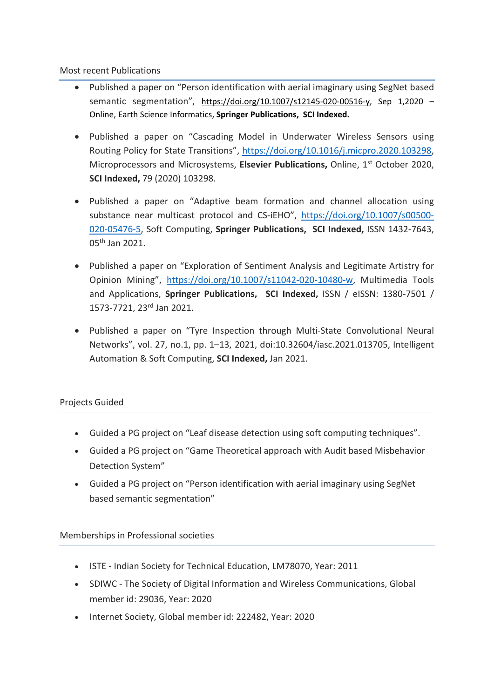### Most recent Publications

- Published a paper on "Person identification with aerial imaginary using SegNet based semantic segmentation", https://doi.org/10.1007/s12145-020-00516-y, Sep 1,2020 – Online, Earth Science Informatics, **Springer Publications, SCI Indexed.**
- Published a paper on "Cascading Model in Underwater Wireless Sensors using Routing Policy for State Transitions", https://doi.org/10.1016/j.micpro.2020.103298, Microprocessors and Microsystems, **Elsevier Publications,** Online, 1st October 2020, **SCI Indexed,** 79 (2020) 103298.
- Published a paper on "Adaptive beam formation and channel allocation using substance near multicast protocol and CS-iEHO", https://doi.org/10.1007/s00500- 020-05476-5, Soft Computing, **Springer Publications, SCI Indexed,** ISSN 1432-7643, 05th Jan 2021.
- Published a paper on "Exploration of Sentiment Analysis and Legitimate Artistry for Opinion Mining", https://doi.org/10.1007/s11042-020-10480-w, Multimedia Tools and Applications, **Springer Publications, SCI Indexed,** ISSN / eISSN: 1380-7501 / 1573-7721, 23rd Jan 2021.
- Published a paper on "Tyre Inspection through Multi-State Convolutional Neural Networks", vol. 27, no.1, pp. 1–13, 2021, doi:10.32604/iasc.2021.013705, Intelligent Automation & Soft Computing, **SCI Indexed,** Jan 2021.

### Projects Guided

- Guided a PG project on "Leaf disease detection using soft computing techniques".
- Guided a PG project on "Game Theoretical approach with Audit based Misbehavior Detection System"
- Guided a PG project on "Person identification with aerial imaginary using SegNet based semantic segmentation"

### Memberships in Professional societies

- ISTE Indian Society for Technical Education, LM78070, Year: 2011
- SDIWC The Society of Digital Information and Wireless Communications, Global member id: 29036, Year: 2020
- Internet Society, Global member id: 222482, Year: 2020